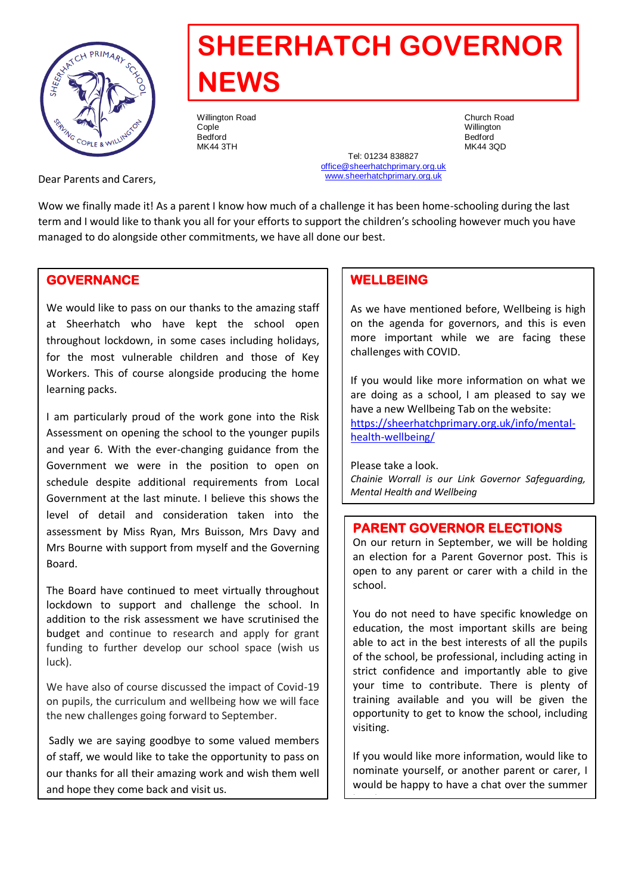

# **SHEERHATCH GOVERNOR NEWS**

Willington Road **Church Road Church Road Church Road**<br>Conle Cople Willington Bedford Bedford MK44 3TH MK44 3QD

Tel: 01234 838827 [office@sheerhatchprimary.org.uk](mailto:office@sheerhatchprimary.org.uk) [www.sheerhatchprimary.org.uk](http://www.sheerhatchprimary.org.uk/)

Dear Parents and Carers,

Wow we finally made it! As a parent I know how much of a challenge it has been home-schooling during the last term and I would like to thank you all for your efforts to support the children's schooling however much you have managed to do alongside other commitments, we have all done our best.

## **GOVERNANCE**

We would like to pass on our thanks to the amazing staff at Sheerhatch who have kept the school open throughout lockdown, in some cases including holidays, for the most vulnerable children and those of Key Workers. This of course alongside producing the home learning packs.

I am particularly proud of the work gone into the Risk Assessment on opening the school to the younger pupils and year 6. With the ever-changing guidance from the Government we were in the position to open on schedule despite additional requirements from Local Government at the last minute. I believe this shows the level of detail and consideration taken into the assessment by Miss Ryan, Mrs Buisson, Mrs Davy and Mrs Bourne with support from myself and the Governing Board.

The Board have continued to meet virtually throughout lockdown to support and challenge the school. In addition to the risk assessment we have scrutinised the budget and continue to research and apply for grant funding to further develop our school space (wish us luck).

We have also of course discussed the impact of Covid-19 on pupils, the curriculum and wellbeing how we will face the new challenges going forward to September.

Sadly we are saying goodbye to some valued members of staff, we would like to take the opportunity to pass on our thanks for all their amazing work and wish them well and hope they come back and visit us.

## **WELLBEING**

As we have mentioned before, Wellbeing is high on the agenda for governors, and this is even more important while we are facing these challenges with COVID.

If you would like more information on what we are doing as a school, I am pleased to say we have a new Wellbeing Tab on the website: [https://sheerhatchprimary.org.uk/info/mental](https://sheerhatchprimary.org.uk/info/mental-health-wellbeing/)[health-wellbeing/](https://sheerhatchprimary.org.uk/info/mental-health-wellbeing/)

Please take a look. *Chainie Worrall is our Link Governor Safeguarding, Mental Health and Wellbeing*

#### **PARENT GOVERNOR ELECTIONS**

On our return in September, we will be holding an election for a Parent Governor post. This is open to any parent or carer with a child in the school.

You do not need to have specific knowledge on education, the most important skills are being able to act in the best interests of all the pupils of the school, be professional, including acting in strict confidence and importantly able to give your time to contribute. There is plenty of training available and you will be given the opportunity to get to know the school, including visiting.

If you would like more information, would like to nominate yourself, or another parent or carer, I would be happy to have a chat over the summer

break.